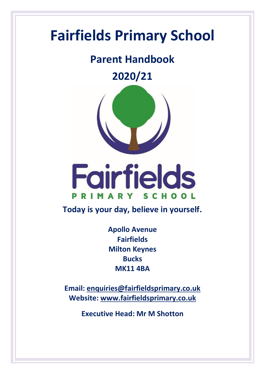# **Fairfields Primary School**

# **Parent Handbook 2020/21**





**Today is your day, believe in yourself.** 

**Apollo Avenue Fairfields Milton Keynes Bucks MK11 4BA** 

**Email: [enquiries@fairfieldsprimary.co.uk](mailto:enquiries@fairfieldsprimary.co.uk)  Website: [www.fairfieldsprimary.co.uk](http://www.fairfieldprimary.co.uk/)** 

**Executive Head: Mr M Shotton**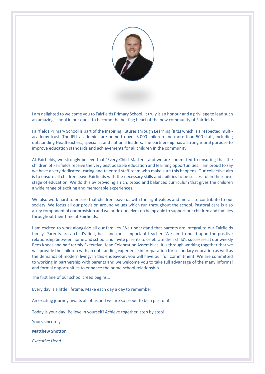

I am delighted to welcome you to Fairfields Primary School. It truly is an honour and a privilege to lead such an amazing school in our quest to become the beating heart of the new community of Fairfields.

Fairfields Primary School is part of the Inspiring Futures through Learning (IFtL) which is a respected multiacademy trust. The IFtL academies are home to over 3,000 children and more than 500 staff, including outstanding Headteachers, specialist and national leaders. The partnership has a strong moral purpose to improve education standards and achievements for all children in the community.

At Fairfields, we strongly believe that 'Every Child Matters' and we are committed to ensuring that the children of Fairfields receive the very best possible education and learning opportunities. I am proud to say we have a very dedicated, caring and talented staff team who make sure this happens. Our collective aim is to ensure all children leave Fairfields with the necessary skills and abilities to be successful in their next stage of education. We do this by providing a rich, broad and balanced curriculum that gives the children a wide range of exciting and memorable experiences.

We also work hard to ensure that children leave us with the right values and morals to contribute to our society. We focus all our provision around values which run throughout the school. Pastoral care is also a key component of our provision and we pride ourselves on being able to support our children and families throughout their time at Fairfields.

I am excited to work alongside all our families. We understand that parents are integral to our Fairfields family. Parents are a child's first, best and most important teacher. We aim to build upon the positive relationship between home and school and invite parents to celebrate their child's successes at our weekly Bees Knees and half termly Executive Head Celebration Assemblies. It is through working together that we will provide the children with an outstanding experience in preparation for secondary education as well as the demands of modern living. In this endeavour, you will have our full commitment. We are committed to working in partnership with parents and we welcome you to take full advantage of the many informal and formal opportunities to enhance the home-school relationship.

The first line of our school creed begins…

Every day is a little lifetime. Make each day a day to remember.

An exciting journey awaits all of us and we are so proud to be a part of it.

Today is your day! Believe in yourself! Achieve together, step by step!

Yours sincerely,

**Matthew Shotton**

*Executive Head*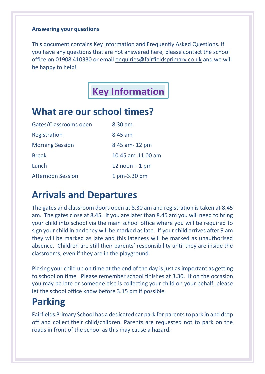#### **Answering your questions**

This document contains Key Information and Frequently Asked Questions. If you have any questions that are not answered here, please contact the school office on 01908 410330 or email [enquiries@fairfieldsprimary.co.uk](mailto:enquiries@fairfieldsprimary.co.uk) and we will be happy to help!



#### **What are our school times?**

| Gates/Classrooms open    | 8.30 am                |
|--------------------------|------------------------|
| Registration             | 8.45 am                |
| <b>Morning Session</b>   | 8.45 am - 12 pm        |
| <b>Break</b>             | 10.45 am-11.00 am      |
| Lunch                    | 12 $n$ oon $-$ 1 $p$ m |
| <b>Afternoon Session</b> | 1 pm-3.30 pm           |

#### **Arrivals and Departures**

The gates and classroom doors open at 8.30 am and registration is taken at 8.45 am. The gates close at 8.45. if you are later than 8.45 am you will need to bring your child into school via the main school office where you will be required to sign your child in and they will be marked as late. If your child arrives after 9 am they will be marked as late and this lateness will be marked as unauthorised absence. Children are still their parents' responsibility until they are inside the classrooms, even if they are in the playground.

Picking your child up on time at the end of the day is just as important as getting to school on time. Please remember school finishes at 3.30. If on the occasion you may be late or someone else is collecting your child on your behalf, please let the school office know before 3.15 pm if possible.

#### **Parking**

Fairfields Primary School has a dedicated car park for parents to park in and drop off and collect their child/children. Parents are requested not to park on the roads in front of the school as this may cause a hazard.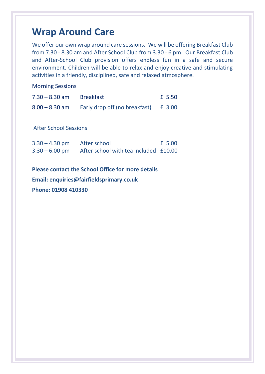#### **Wrap Around Care**

We offer our own wrap around care sessions. We will be offering Breakfast Club from 7.30 - 8.30 am and After School Club from 3.30 - 6 pm. Our Breakfast Club and After-School Club provision offers endless fun in a safe and secure environment. Children will be able to relax and enjoy creative and stimulating activities in a friendly, disciplined, safe and relaxed atmosphere.

#### Morning Sessions

| $7.30 - 8.30$ am | <b>Breakfast</b>                     | £ 5.50 |
|------------------|--------------------------------------|--------|
| $8.00 - 8.30$ am | Early drop off (no breakfast) £ 3.00 |        |

After School Sessions

| $3.30 - 4.30$ pm | After school                          | £ 5.00 |
|------------------|---------------------------------------|--------|
| $3.30 - 6.00$ pm | After school with tea included £10.00 |        |

**Please contact the School Office for more details Email: enquiries@fairfieldsprimary.co.uk Phone: 01908 410330**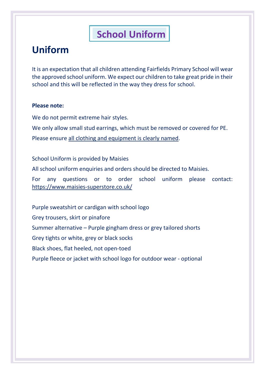### **School Uniform**

#### **Uniform**

It is an expectation that all children attending Fairfields Primary School will wear the approved school uniform. We expect our children to take great pride in their school and this will be reflected in the way they dress for school.

#### **Please note:**

We do not permit extreme hair styles.  We only allow small stud earrings, which must be removed or covered for PE. Please ensure all clothing and equipment is clearly named.

School Uniform is provided by Maisies

All school uniform enquiries and orders should be directed to Maisies.

For any questions or to order school uniform please contact: <https://www.maisies-superstore.co.uk/>

Purple sweatshirt or cardigan with school logo Grey trousers, skirt or pinafore Summer alternative – Purple gingham dress or grey tailored shorts Grey tights or white, grey or black socks Black shoes, flat heeled, not open-toed Purple fleece or jacket with school logo for outdoor wear - optional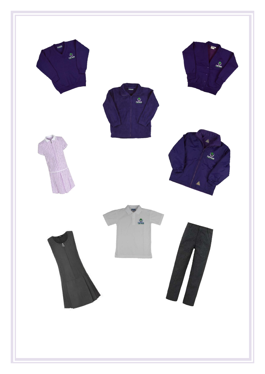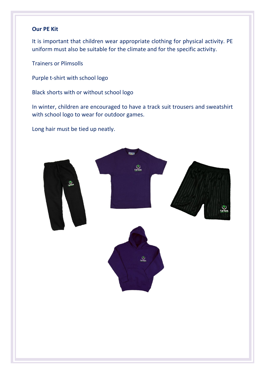#### **Our PE Kit**

It is important that children wear appropriate clothing for physical activity. PE uniform must also be suitable for the climate and for the specific activity.

Trainers or Plimsolls

Purple t-shirt with school logo

Black shorts with or without school logo

In winter, children are encouraged to have a track suit trousers and sweatshirt with school logo to wear for outdoor games.

Long hair must be tied up neatly.

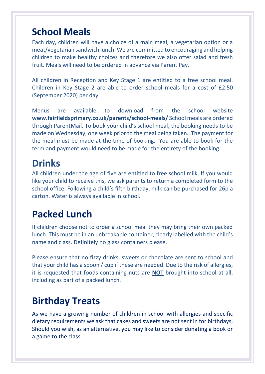#### **School Meals**

Each day, children will have a choice of a main meal, a vegetarian option or a meat/vegetarian sandwich lunch. We are committed to encouraging and helping children to make healthy choices and therefore we also offer salad and fresh fruit. Meals will need to be ordered in advance via Parent Pay.

All children in Reception and Key Stage 1 are entitled to a free school meal. Children in Key Stage 2 are able to order school meals for a cost of £2.50 (September 2020) per day.

Menus are available to download from the school website **[www.fairfieldsprimary.co.uk/parents/school-meals/](http://www.fairfieldsprimary.co.uk/parents/school-meals/)** School meals are ordered through ParentMail. To book your child's school meal, the booking needs to be made on Wednesday, one week prior to the meal being taken. The payment for the meal must be made at the time of booking. You are able to book for the term and payment would need to be made for the entirety of the booking.

### **Drinks**

All children under the age of five are entitled to free school milk. If you would like your child to receive this, we ask parents to return a completed form to the school office. Following a child's fifth birthday, milk can be purchased for 26p a carton. Water is always available in school.

## **Packed Lunch**

If children choose not to order a school meal they may bring their own packed lunch. This must be in an unbreakable container, clearly labelled with the child's name and class. Definitely no glass containers please.

Please ensure that no fizzy drinks, sweets or chocolate are sent to school and that your child has a spoon / cup if these are needed. Due to the risk of allergies, it is requested that foods containing nuts are **NOT** brought into school at all, including as part of a packed lunch.

### **Birthday Treats**

As we have a growing number of children in school with allergies and specific dietary requirements we ask that cakes and sweets are not sent in for birthdays. Should you wish, as an alternative, you may like to consider donating a book or a game to the class.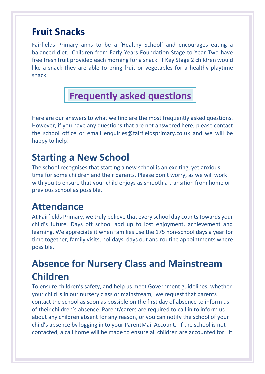#### **Fruit Snacks**

Fairfields Primary aims to be a 'Healthy School' and encourages eating a balanced diet. Children from Early Years Foundation Stage to Year Two have free fresh fruit provided each morning for a snack. If Key Stage 2 children would like a snack they are able to bring fruit or vegetables for a healthy playtime snack.

### **Frequently asked questions**

Here are our answers to what we find are the most frequently asked questions. However, if you have any questions that are not answered here, please contact the school office or email [enquiries@fairfieldsprimary.co.uk](mailto:enquiries@fairfieldsprimary.co.uk) and we will be happy to help!

### **Starting a New School**

The school recognises that starting a new school is an exciting, yet anxious time for some children and their parents. Please don't worry, as we will work with you to ensure that your child enjoys as smooth a transition from home or previous school as possible.

### **Attendance**

At Fairfields Primary, we truly believe that every school day counts towards your child's future. Days off school add up to lost enjoyment, achievement and learning. We appreciate it when families use the 175 non-school days a year for time together, family visits, holidays, days out and routine appointments where possible.

# **Absence for Nursery Class and Mainstream Children**

To ensure children's safety, and help us meet Government guidelines, whether your child is in our nursery class or mainstream, we request that parents contact the school as soon as possible on the first day of absence to inform us of their children's absence. Parent/carers are required to call in to inform us about any children absent for any reason, or you can notify the school of your child's absence by logging in to your ParentMail Account. If the school is not contacted, a call home will be made to ensure all children are accounted for. If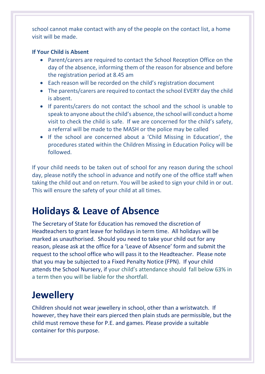school cannot make contact with any of the people on the contact list, a home visit will be made.

#### **If Your Child is Absent**

- Parent/carers are required to contact the School Reception Office on the day of the absence, informing them of the reason for absence and before the registration period at 8.45 am
- Each reason will be recorded on the child's registration document
- The parents/carers are required to contact the school EVERY day the child is absent.
- If parents/carers do not contact the school and the school is unable to speak to anyone about the child's absence, the school will conduct a home visit to check the child is safe. If we are concerned for the child's safety, a referral will be made to the MASH or the police may be called
- If the school are concerned about a 'Child Missing in Education', the procedures stated within the Children Missing in Education Policy will be followed.

If your child needs to be taken out of school for any reason during the school day, please notify the school in advance and notify one of the office staff when taking the child out and on return. You will be asked to sign your child in or out. This will ensure the safety of your child at all times.

### **Holidays & Leave of Absence**

The Secretary of State for Education has removed the discretion of Headteachers to grant leave for holidays in term time. All holidays will be marked as unauthorised. Should you need to take your child out for any reason, please ask at the office for a 'Leave of Absence' form and submit the request to the school office who will pass it to the Headteacher. Please note that you may be subjected to a Fixed Penalty Notice (FPN). If your child attends the School Nursery, if your child's attendance should fall below 63% in a term then you will be liable for the shortfall.

# **Jewellery**

Children should not wear jewellery in school, other than a wristwatch. If however, they have their ears pierced then plain studs are permissible, but the child must remove these for P.E. and games. Please provide a suitable container for this purpose.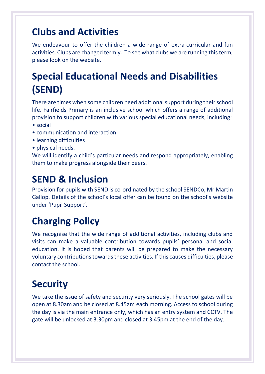### **Clubs and Activities**

We endeavour to offer the children a wide range of extra-curricular and fun activities. Clubs are changed termly. To see what clubs we are running this term, please look on the website.

# **Special Educational Needs and Disabilities (SEND)**

There are times when some children need additional support during their school life. Fairfields Primary is an inclusive school which offers a range of additional provision to support children with various special educational needs, including:

- social
- communication and interaction
- learning difficulties
- physical needs.

We will identify a child's particular needs and respond appropriately, enabling them to make progress alongside their peers.

#### **SEND & Inclusion**

Provision for pupils with SEND is co-ordinated by the school SENDCo, Mr Martin Gallop. Details of the school's local offer can be found on the school's website under 'Pupil Support'.

# **Charging Policy**

We recognise that the wide range of additional activities, including clubs and visits can make a valuable contribution towards pupils' personal and social education. It is hoped that parents will be prepared to make the necessary voluntary contributions towards these activities. If this causes difficulties, please contact the school.

## **Security**

We take the issue of safety and security very seriously. The school gates will be open at 8.30am and be closed at 8.45am each morning. Access to school during the day is via the main entrance only, which has an entry system and CCTV. The gate will be unlocked at 3.30pm and closed at 3.45pm at the end of the day.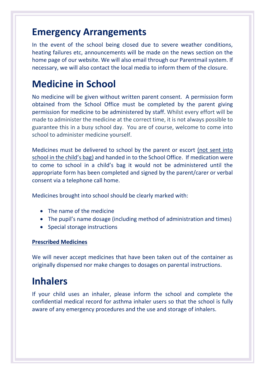#### **Emergency Arrangements**

In the event of the school being closed due to severe weather conditions, heating failures etc, announcements will be made on the news section on the home page of our website. We will also email through our Parentmail system. If necessary, we will also contact the local media to inform them of the closure.

### **Medicine in School**

No medicine will be given without written parent consent. A permission form obtained from the School Office must be completed by the parent giving permission for medicine to be administered by staff. Whilst every effort will be made to administer the medicine at the correct time, it is not always possible to guarantee this in a busy school day. You are of course, welcome to come into school to administer medicine yourself.

Medicines must be delivered to school by the parent or escort (not sent into school in the child's bag) and handed in to the School Office. If medication were to come to school in a child's bag it would not be administered until the appropriate form has been completed and signed by the parent/carer or verbal consent via a telephone call home.

Medicines brought into school should be clearly marked with:

- The name of the medicine
- The pupil's name dosage (including method of administration and times)
- Special storage instructions

#### **Prescribed Medicines**

We will never accept medicines that have been taken out of the container as originally dispensed nor make changes to dosages on parental instructions.

### **Inhalers**

If your child uses an inhaler, please inform the school and complete the confidential medical record for asthma inhaler users so that the school is fully aware of any emergency procedures and the use and storage of inhalers.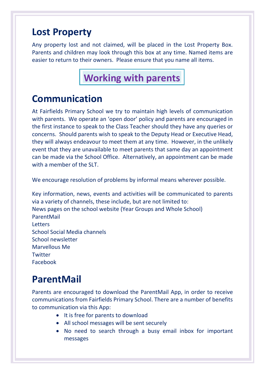#### **Lost Property**

Any property lost and not claimed, will be placed in the Lost Property Box. Parents and children may look through this box at any time. Named items are easier to return to their owners. Please ensure that you name all items.

# **Working with parents**

# **Communication**

At Fairfields Primary School we try to maintain high levels of communication with parents. We operate an 'open door' policy and parents are encouraged in the first instance to speak to the Class Teacher should they have any queries or concerns. Should parents wish to speak to the Deputy Head or Executive Head, they will always endeavour to meet them at any time. However, in the unlikely event that they are unavailable to meet parents that same day an appointment can be made via the School Office. Alternatively, an appointment can be made with a member of the SLT.

We encourage resolution of problems by informal means wherever possible.

Key information, news, events and activities will be communicated to parents via a variety of channels, these include, but are not limited to: News pages on the school website (Year Groups and Whole School) ParentMail **Letters** School Social Media channels School newsletter Marvellous Me **Twitter** Facebook

### **ParentMail**

Parents are encouraged to download the ParentMail App, in order to receive communications from Fairfields Primary School. There are a number of benefits to communication via this App:

- It is free for parents to download
- All school messages will be sent securely
- No need to search through a busy email inbox for important messages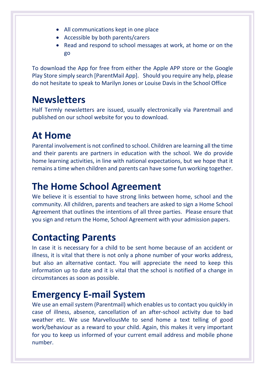- All communications kept in one place
- Accessible by both parents/carers
- Read and respond to school messages at work, at home or on the go

To download the App for free from either the [Apple APP store](https://itunes.apple.com/gb/app/parentmail-pmx/id937274547) or the [Google](https://play.google.com/store/apps/details?id=uk.co.parentmail.parentmail&hl=en_GB)  [Play Store](https://play.google.com/store/apps/details?id=uk.co.parentmail.parentmail&hl=en_GB) simply search [ParentMail App]. Should you require any help, please do not hesitate to speak to Marilyn Jones or Louise Davis in the School Office

#### **Newsletters**

Half Termly newsletters are issued, usually electronically via Parentmail and published on our school website for you to download.

### **At Home**

Parental involvement is not confined to school. Children are learning all the time and their parents are partners in education with the school. We do provide home learning activities, in line with national expectations, but we hope that it remains a time when children and parents can have some fun working together.

### **The Home School Agreement**

We believe it is essential to have strong links between home, school and the community. All children, parents and teachers are asked to sign a Home School Agreement that outlines the intentions of all three parties. Please ensure that you sign and return the Home, School Agreement with your admission papers.

#### **Contacting Parents**

In case it is necessary for a child to be sent home because of an accident or illness, it is vital that there is not only a phone number of your works address, but also an alternative contact. You will appreciate the need to keep this information up to date and it is vital that the school is notified of a change in circumstances as soon as possible.

#### **Emergency E-mail System**

We use an email system (Parentmail) which enables us to contact you quickly in case of illness, absence, cancellation of an after-school activity due to bad weather etc. We use MarvellousMe to send home a text telling of good work/behaviour as a reward to your child. Again, this makes it very important for you to keep us informed of your current email address and mobile phone number.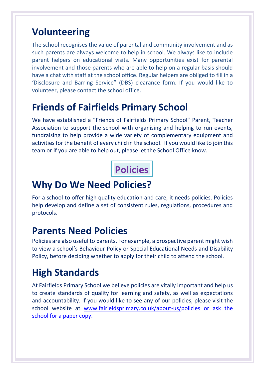### **Volunteering**

The school recognises the value of parental and community involvement and as such parents are always welcome to help in school. We always like to include parent helpers on educational visits. Many opportunities exist for parental involvement and those parents who are able to help on a regular basis should have a chat with staff at the school office. Regular helpers are obliged to fill in a 'Disclosure and Barring Service" (DBS) clearance form. If you would like to volunteer, please contact the school office.

#### **Friends of Fairfields Primary School**

We have established a "Friends of Fairfields Primary School" Parent, Teacher Association to support the school with organising and helping to run events, fundraising to help provide a wide variety of complementary equipment and activities for the benefit of every child in the school. If you would like to join this team or if you are able to help out, please let the School Office know.



#### **Why Do We Need Policies?**

For a school to offer high quality education and care, it needs policies. Policies help develop and define a set of consistent rules, regulations, procedures and protocols.

#### **Parents Need Policies**

Policies are also useful to parents. For example, a prospective parent might wish to view a school's Behaviour Policy or Special Educational Needs and Disability Policy, before deciding whether to apply for their child to attend the school.

# **High Standards**

At Fairfields Primary School we believe policies are vitally important and help us to create standards of quality for learning and safety, as well as expectations and accountability. If you would like to see any of our policies, please visit the school website at [www.fairieldsprimary.co.uk/about-us/policies](http://www.fairieldsprimary.co.uk/about-us/policies) or ask the school for a paper copy.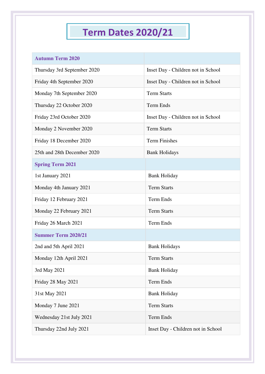# **Term Dates 2020/21**

| <b>Autumn Term 2020</b>     |                                    |
|-----------------------------|------------------------------------|
| Thursday 3rd September 2020 | Inset Day - Children not in School |
| Friday 4th September 2020   | Inset Day - Children not in School |
| Monday 7th September 2020   | <b>Term Starts</b>                 |
| Thursday 22 October 2020    | <b>Term Ends</b>                   |
| Friday 23rd October 2020    | Inset Day - Children not in School |
| Monday 2 November 2020      | <b>Term Starts</b>                 |
| Friday 18 December 2020     | <b>Term Finishes</b>               |
| 25th and 28th December 2020 | <b>Bank Holidays</b>               |
| <b>Spring Term 2021</b>     |                                    |
| 1st January 2021            | <b>Bank Holiday</b>                |
| Monday 4th January 2021     | <b>Term Starts</b>                 |
| Friday 12 February 2021     | Term Ends                          |
| Monday 22 February 2021     | <b>Term Starts</b>                 |
| Friday 26 March 2021        | <b>Term Ends</b>                   |
| <b>Summer Term 2020/21</b>  |                                    |
| 2nd and 5th April 2021      | <b>Bank Holidays</b>               |
| Monday 12th April 2021      | <b>Term Starts</b>                 |
| 3rd May 2021                | <b>Bank Holiday</b>                |
| Friday 28 May 2021          | Term Ends                          |
| 31st May 2021               | <b>Bank Holiday</b>                |
| Monday 7 June 2021          | <b>Term Starts</b>                 |
| Wednesday 21st July 2021    | Term Ends                          |
| Thursday 22nd July 2021     | Inset Day - Children not in School |